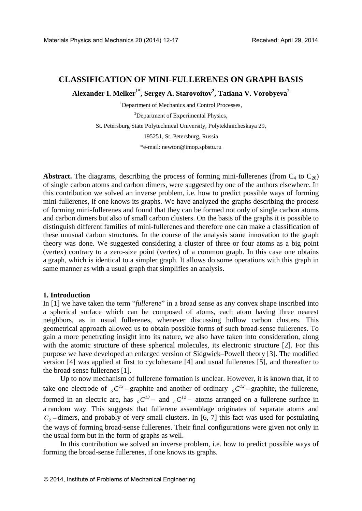# **CLASSIFICATION OF MINI-FULLERENES ON GRAPH BASIS**

**Alexander I. Melker1\* , Sergey A. Starovoitov<sup>2</sup> , Tatiana V. Vorobyeva<sup>2</sup>**

<sup>1</sup>Department of Mechanics and Control Processes,

<sup>2</sup>Department of Experimental Physics,

St. Petersburg State Polytechnical University, Polytekhnicheskaya 29,

195251, St. Petersburg, Russia

\*e-mail: [newton@imop.spbstu.ru](mailto:newton@imop.spbstu.ru)

**Abstract.** The diagrams, describing the process of forming mini-fullerenes (from  $C_4$  to  $C_{20}$ ) of single carbon atoms and carbon dimers, were suggested by one of the authors elsewhere. In this contribution we solved an inverse problem, i.e. how to predict possible ways of forming mini-fullerenes, if one knows its graphs. We have analyzed the graphs describing the process of forming mini-fullerenes and found that they can be formed not only of single carbon atoms and carbon dimers but also of small carbon clusters. On the basis of the graphs it is possible to distinguish different families of mini-fullerenes and therefore one can make a classification of these unusual carbon structures. In the course of the analysis some innovation to the graph theory was done. We suggested considering a cluster of three or four atoms as a big point (vertex) contrary to a zero-size point (vertex) of a common graph. In this case one obtains a graph, which is identical to a simpler graph. It allows do some operations with this graph in same manner as with a usual graph that simplifies an analysis.

#### **1. Introduction**

In [1] we have taken the term "*fullerene*" in a broad sense as any convex shape inscribed into a spherical surface which can be composed of atoms, each atom having three nearest neighbors, as in usual fullerenes, whenever discussing hollow carbon clusters. This geometrical approach allowed us to obtain possible forms of such broad-sense fullerenes. To gain a more penetrating insight into its nature, we also have taken into consideration, along with the atomic structure of these spherical molecules, its electronic structure [2]. For this purpose we have developed an enlarged version of Sidgwick–Powell theory [3]. The modified version [4] was applied at first to cyclohexane [4] and usual fullerenes [5], and thereafter to the broad-sense fullerenes [1].

Up to now mechanism of fullerene formation is unclear. However, it is known that, if to take one electrode of  $_{6}C^{13}$  – graphite and another of ordinary  $_{6}C^{12}$  – graphite, the fullerene, formed in an electric arc, has  $_{6}C^{13}$  – and  $_{6}C^{12}$  – atoms arranged on a fullerene surface in a random way. This suggests that fullerene assemblage originates of separate atoms and  $C<sub>2</sub>$  – dimers, and probably of very small clusters. In [6, 7] this fact was used for postulating the ways of forming broad-sense fullerenes. Their final configurations were given not only in the usual form but in the form of graphs as well.

In this contribution we solved an inverse problem, i.e. how to predict possible ways of forming the broad-sense fullerenes, if one knows its graphs.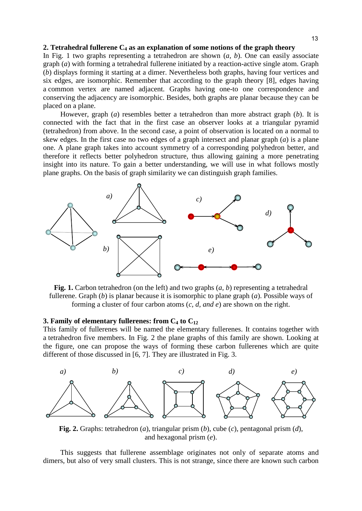## **2. Tetrahedral fullerene C<sup>4</sup> as an explanation of some notions of the graph theory**

In Fig. 1 two graphs representing a tetrahedron are shown (*a, b*). One can easily associate graph (*a*) with forming a tetrahedral fullerene initiated by a reaction-active single atom. Graph (*b*) displays forming it starting at a dimer. Nevertheless both graphs, having four vertices and six edges, are isomorphic. Remember that according to the graph theory [8], edges having a common vertex are named adjacent. Graphs having one-to one correspondence and conserving the adjacency are isomorphic. Besides, both graphs are planar because they can be placed on a plane.

However, graph (*a*) resembles better a tetrahedron than more abstract graph (*b*). It is connected with the fact that in the first case an observer looks at a triangular pyramid (tetrahedron) from above. In the second case, a point of observation is located on a normal to skew edges. In the first case no two edges of a graph intersect and planar graph (*a*) is a plane one. A plane graph takes into account symmetry of a corresponding polyhedron better, and therefore it reflects better polyhedron structure, thus allowing gaining a more penetrating insight into its nature. To gain a better understanding, we will use in what follows mostly plane graphs. On the basis of graph similarity we can distinguish graph families.



**Fig. 1.** Carbon tetrahedron (on the left) and two graphs (*a, b*) representing a tetrahedral fullerene. Graph (*b*) is planar because it is isomorphic to plane graph (*a*). Possible ways of forming a cluster of four carbon atoms (*c, d, and e*) are shown on the right.

## **3. Family of elementary fullerenes: from C<sup>4</sup> to C<sup>12</sup>**

This family of fullerenes will be named the elementary fullerenes. It contains together with a tetrahedron five members. In Fig. 2 the plane graphs of this family are shown. Looking at the figure, one can propose the ways of forming these carbon fullerenes which are quite different of those discussed in [6, 7]. They are illustrated in Fig. 3.



**Fig. 2.** Graphs: tetrahedron (*a*), triangular prism (*b*), cube (*c*), pentagonal prism (*d*), and hexagonal prism (*e*).

This suggests that fullerene assemblage originates not only of separate atoms and dimers, but also of very small clusters. This is not strange, since there are known such carbon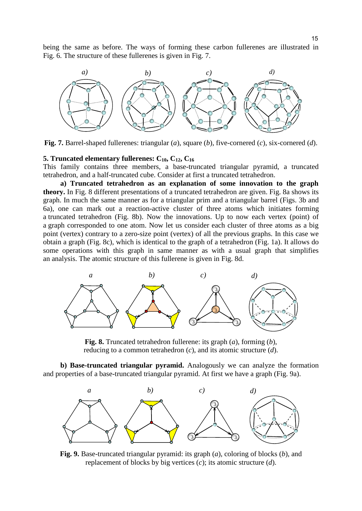being the same as before. The ways of forming these carbon fullerenes are illustrated in Fig. 6. The structure of these fullerenes is given in Fig. 7.



**Fig. 7.** Barrel-shaped fullerenes: triangular (*a*), square (*b*), five-cornered (*c*), six-cornered (*d*).

#### **5. Truncated elementary fullerenes:**  $C_{10}$ ,  $C_{12}$ ,  $C_{16}$

This family contains three members, a base-truncated triangular pyramid, a truncated tetrahedron, and a half-truncated cube. Consider at first a truncated tetrahedron.

**a) Truncated tetrahedron as an explanation of some innovation to the graph theory.** In Fig. 8 different presentations of a truncated tetrahedron are given. Fig. 8a shows its graph. In much the same manner as for a triangular prim and a triangular barrel (Figs. 3b and 6a), one can mark out a reaction-active cluster of three atoms which initiates forming a truncated tetrahedron (Fig. 8b). Now the innovations. Up to now each vertex (point) of a graph corresponded to one atom. Now let us consider each cluster of three atoms as a big point (vertex) contrary to a zero-size point (vertex) of all the previous graphs. In this case we obtain a graph (Fig. 8c), which is identical to the graph of a tetrahedron (Fig. 1a). It allows do some operations with this graph in same manner as with a usual graph that simplifies an analysis. The atomic structure of this fullerene is given in Fig. 8d.



**Fig. 8.** Truncated tetrahedron fullerene: its graph (*a*), forming (*b*), reducing to a common tetrahedron (*c*), and its atomic structure (*d*).

**b) Base-truncated triangular pyramid.** Analogously we can analyze the formation and properties of a base-truncated triangular pyramid. At first we have a graph (Fig. 9a).



**Fig. 9.** Base-truncated triangular pyramid: its graph (*a*), coloring of blocks (*b*), and replacement of blocks by big vertices (*c*); its atomic structure (*d*).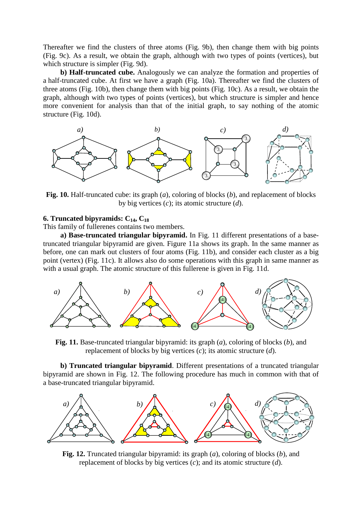Thereafter we find the clusters of three atoms (Fig. 9b), then change them with big points (Fig. 9c). As a result, we obtain the graph, although with two types of points (vertices), but which structure is simpler (Fig. 9d).

**b) Half-truncated cube.** Analogously we can analyze the formation and properties of a half-truncated cube. At first we have a graph (Fig. 10a). Thereafter we find the clusters of three atoms (Fig. 10b), then change them with big points (Fig. 10c). As a result, we obtain the graph, although with two types of points (vertices), but which structure is simpler and hence more convenient for analysis than that of the initial graph, to say nothing of the atomic structure (Fig. 10d).



**Fig. 10.** Half-truncated cube: its graph (*a*), coloring of blocks (*b*), and replacement of blocks by big vertices (*c*); its atomic structure (*d*).

## **6. Truncated bipyramids: C14, C<sup>18</sup>**

This family of fullerenes contains two members.

**a) Base-truncated triangular bipyramid.** In Fig. 11 different presentations of a basetruncated triangular bipyramid are given. Figure 11a shows its graph. In the same manner as before, one can mark out clusters of four atoms (Fig. 11b), and consider each cluster as a big point (vertex) (Fig. 11c). It allows also do some operations with this graph in same manner as with a usual graph. The atomic structure of this fullerene is given in Fig. 11d.



**Fig. 11.** Base-truncated triangular bipyramid: its graph (*a*), coloring of blocks (*b*), and replacement of blocks by big vertices (*c*); its atomic structure (*d*).

**b) Truncated triangular bipyramid**. Different presentations of a truncated triangular bipyramid are shown in Fig. 12. The following procedure has much in common with that of a base-truncated triangular bipyramid.



**Fig. 12.** Truncated triangular bipyramid: its graph (*a*), coloring of blocks (*b*), and replacement of blocks by big vertices (*c*); and its atomic structure (*d*).